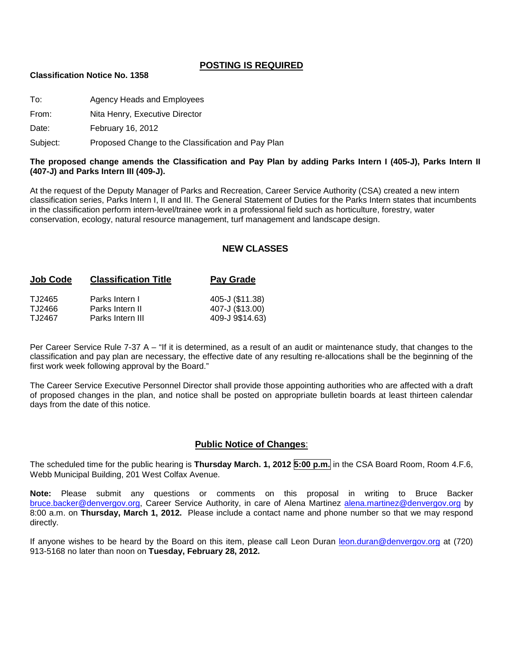#### **POSTING IS REQUIRED**

#### **Classification Notice No. 1358**

To: Agency Heads and Employees

From: Nita Henry, Executive Director

Date: February 16, 2012

Subject: Proposed Change to the Classification and Pay Plan

#### **The proposed change amends the Classification and Pay Plan by adding Parks Intern I (405-J), Parks Intern II (407-J) and Parks Intern III (409-J).**

At the request of the Deputy Manager of Parks and Recreation, Career Service Authority (CSA) created a new intern classification series, Parks Intern I, II and III. The General Statement of Duties for the Parks Intern states that incumbents in the classification perform intern-level/trainee work in a professional field such as horticulture, forestry, water conservation, ecology, natural resource management, turf management and landscape design.

#### **NEW CLASSES**

| <b>Job Code</b> | <b>Classification Title</b> | <b>Pay Grade</b> |
|-----------------|-----------------------------|------------------|
| TJ2465          | Parks Intern I              | 405-J (\$11.38)  |
| TJ2466          | Parks Intern II             | 407-J (\$13.00)  |
| TJ2467          | Parks Intern III            | 409-J 9\$14.63)  |

Per Career Service Rule 7-37 A – "If it is determined, as a result of an audit or maintenance study, that changes to the classification and pay plan are necessary, the effective date of any resulting re-allocations shall be the beginning of the first work week following approval by the Board."

The Career Service Executive Personnel Director shall provide those appointing authorities who are affected with a draft of proposed changes in the plan, and notice shall be posted on appropriate bulletin boards at least thirteen calendar days from the date of this notice.

## **Public Notice of Changes**:

The scheduled time for the public hearing is **Thursday March. 1, 2012 5:00 p.m.** in the CSA Board Room, Room 4.F.6, Webb Municipal Building, 201 West Colfax Avenue.

**Note:** Please submit any questions or comments on this proposal in writing to Bruce Backer [bruce.backer@denvergov.org,](mailto:bruce.backer@denvergov.org) Career Service Authority, in care of Alena Martinez [alena.martinez@denvergov.org](mailto:alena.martinez@denvergov.org) by 8:00 a.m. on **Thursday, March 1, 2012.** Please include a contact name and phone number so that we may respond directly.

If anyone wishes to be heard by the Board on this item, please call Leon Duran [leon.duran@denvergov.org](mailto:leon.duran@denvergov.org) at (720) 913-5168 no later than noon on **Tuesday, February 28, 2012.**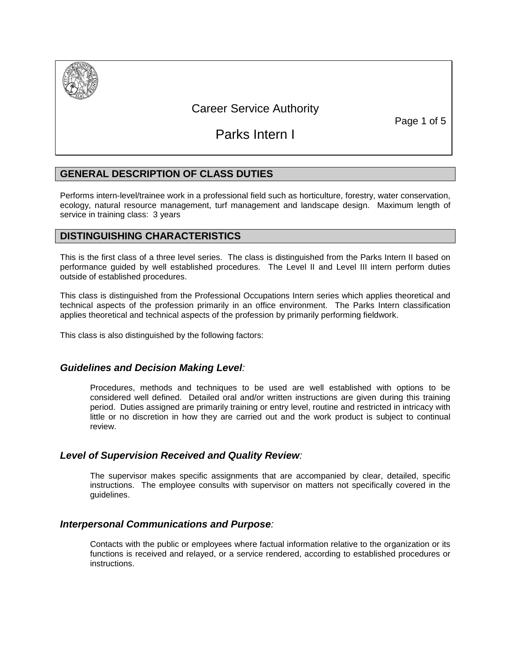

# Career Service Authority

Page 1 of 5

# Parks Intern I

# **GENERAL DESCRIPTION OF CLASS DUTIES**

Performs intern-level/trainee work in a professional field such as horticulture, forestry, water conservation, ecology, natural resource management, turf management and landscape design. Maximum length of service in training class: 3 years

## **DISTINGUISHING CHARACTERISTICS**

This is the first class of a three level series. The class is distinguished from the Parks Intern II based on performance guided by well established procedures. The Level II and Level III intern perform duties outside of established procedures.

This class is distinguished from the Professional Occupations Intern series which applies theoretical and technical aspects of the profession primarily in an office environment. The Parks Intern classification applies theoretical and technical aspects of the profession by primarily performing fieldwork.

This class is also distinguished by the following factors:

## *Guidelines and Decision Making Level:*

Procedures, methods and techniques to be used are well established with options to be considered well defined. Detailed oral and/or written instructions are given during this training period. Duties assigned are primarily training or entry level, routine and restricted in intricacy with little or no discretion in how they are carried out and the work product is subject to continual review.

## *Level of Supervision Received and Quality Review:*

The supervisor makes specific assignments that are accompanied by clear, detailed, specific instructions. The employee consults with supervisor on matters not specifically covered in the guidelines.

## *Interpersonal Communications and Purpose:*

Contacts with the public or employees where factual information relative to the organization or its functions is received and relayed, or a service rendered, according to established procedures or instructions.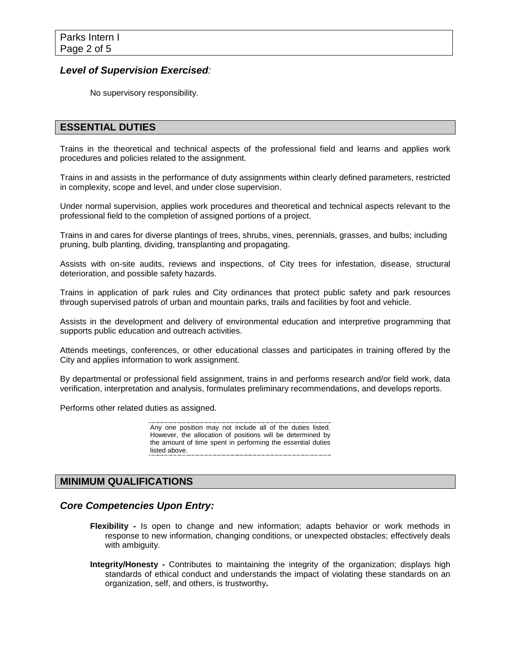### *Level of Supervision Exercised:*

No supervisory responsibility.

#### **ESSENTIAL DUTIES**

Trains in the theoretical and technical aspects of the professional field and learns and applies work procedures and policies related to the assignment.

Trains in and assists in the performance of duty assignments within clearly defined parameters, restricted in complexity, scope and level, and under close supervision.

Under normal supervision, applies work procedures and theoretical and technical aspects relevant to the professional field to the completion of assigned portions of a project.

Trains in and cares for diverse plantings of trees, shrubs, vines, perennials, grasses, and bulbs; including pruning, bulb planting, dividing, transplanting and propagating.

Assists with on-site audits, reviews and inspections, of City trees for infestation, disease, structural deterioration, and possible safety hazards.

Trains in application of park rules and City ordinances that protect public safety and park resources through supervised patrols of urban and mountain parks, trails and facilities by foot and vehicle.

Assists in the development and delivery of environmental education and interpretive programming that supports public education and outreach activities.

Attends meetings, conferences, or other educational classes and participates in training offered by the City and applies information to work assignment.

By departmental or professional field assignment, trains in and performs research and/or field work, data verification, interpretation and analysis, formulates preliminary recommendations, and develops reports.

Performs other related duties as assigned.

Any one position may not include all of the duties listed. However, the allocation of positions will be determined by the amount of time spent in performing the essential duties listed above.

## **MINIMUM QUALIFICATIONS**

#### *Core Competencies Upon Entry:*

- **Flexibility -** Is open to change and new information; adapts behavior or work methods in response to new information, changing conditions, or unexpected obstacles; effectively deals with ambiguity.
- **Integrity/Honesty -** Contributes to maintaining the integrity of the organization; displays high standards of ethical conduct and understands the impact of violating these standards on an organization, self, and others, is trustworthy**.**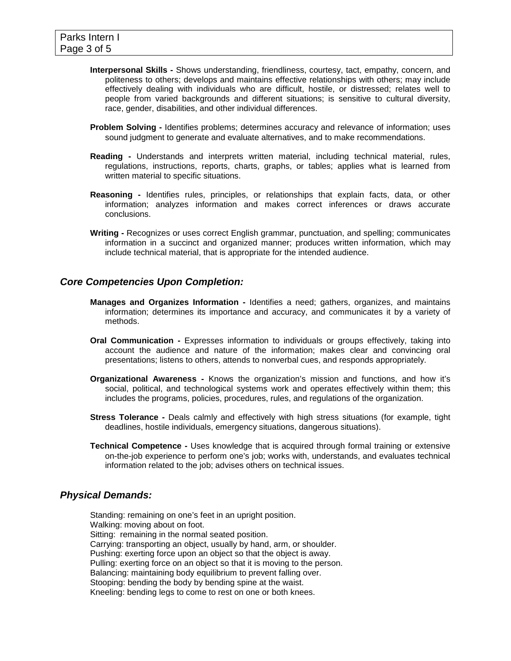- **Interpersonal Skills -** Shows understanding, friendliness, courtesy, tact, empathy, concern, and politeness to others; develops and maintains effective relationships with others; may include effectively dealing with individuals who are difficult, hostile, or distressed; relates well to people from varied backgrounds and different situations; is sensitive to cultural diversity, race, gender, disabilities, and other individual differences.
- **Problem Solving -** Identifies problems; determines accuracy and relevance of information; uses sound judgment to generate and evaluate alternatives, and to make recommendations.
- **Reading -** Understands and interprets written material, including technical material, rules, regulations, instructions, reports, charts, graphs, or tables; applies what is learned from written material to specific situations.
- **Reasoning -** Identifies rules, principles, or relationships that explain facts, data, or other information; analyzes information and makes correct inferences or draws accurate conclusions.
- **Writing -** Recognizes or uses correct English grammar, punctuation, and spelling; communicates information in a succinct and organized manner; produces written information, which may include technical material, that is appropriate for the intended audience.

#### *Core Competencies Upon Completion:*

- **Manages and Organizes Information -** Identifies a need; gathers, organizes, and maintains information; determines its importance and accuracy, and communicates it by a variety of methods.
- **Oral Communication -** Expresses information to individuals or groups effectively, taking into account the audience and nature of the information; makes clear and convincing oral presentations; listens to others, attends to nonverbal cues, and responds appropriately.
- **Organizational Awareness -** Knows the organization's mission and functions, and how it's social, political, and technological systems work and operates effectively within them; this includes the programs, policies, procedures, rules, and regulations of the organization.
- **Stress Tolerance -** Deals calmly and effectively with high stress situations (for example, tight deadlines, hostile individuals, emergency situations, dangerous situations).
- **Technical Competence -** Uses knowledge that is acquired through formal training or extensive on-the-job experience to perform one's job; works with, understands, and evaluates technical information related to the job; advises others on technical issues.

#### *Physical Demands:*

Standing: remaining on one's feet in an upright position. Walking: moving about on foot. Sitting: remaining in the normal seated position. Carrying: transporting an object, usually by hand, arm, or shoulder. Pushing: exerting force upon an object so that the object is away. Pulling: exerting force on an object so that it is moving to the person. Balancing: maintaining body equilibrium to prevent falling over. Stooping: bending the body by bending spine at the waist. Kneeling: bending legs to come to rest on one or both knees.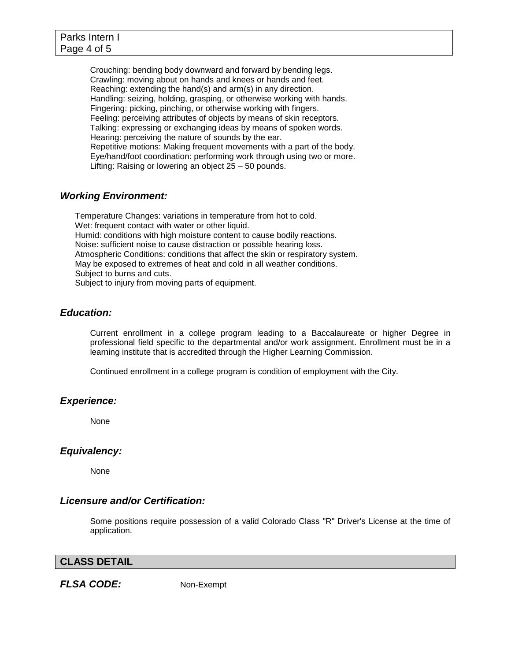Crouching: bending body downward and forward by bending legs. Crawling: moving about on hands and knees or hands and feet. Reaching: extending the hand(s) and arm(s) in any direction. Handling: seizing, holding, grasping, or otherwise working with hands. Fingering: picking, pinching, or otherwise working with fingers. Feeling: perceiving attributes of objects by means of skin receptors. Talking: expressing or exchanging ideas by means of spoken words. Hearing: perceiving the nature of sounds by the ear. Repetitive motions: Making frequent movements with a part of the body. Eye/hand/foot coordination: performing work through using two or more. Lifting: Raising or lowering an object 25 – 50 pounds.

#### *Working Environment:*

Temperature Changes: variations in temperature from hot to cold. Wet: frequent contact with water or other liquid. Humid: conditions with high moisture content to cause bodily reactions. Noise: sufficient noise to cause distraction or possible hearing loss. Atmospheric Conditions: conditions that affect the skin or respiratory system. May be exposed to extremes of heat and cold in all weather conditions. Subject to burns and cuts. Subject to injury from moving parts of equipment.

# *Education:*

Current enrollment in a college program leading to a Baccalaureate or higher Degree in professional field specific to the departmental and/or work assignment. Enrollment must be in a learning institute that is accredited through the Higher Learning Commission.

Continued enrollment in a college program is condition of employment with the City.

#### *Experience:*

None

#### *Equivalency:*

None

#### *Licensure and/or Certification:*

Some positions require possession of a valid Colorado Class "R" Driver's License at the time of application.

#### **CLASS DETAIL**

*FLSA CODE:* Non-Exempt